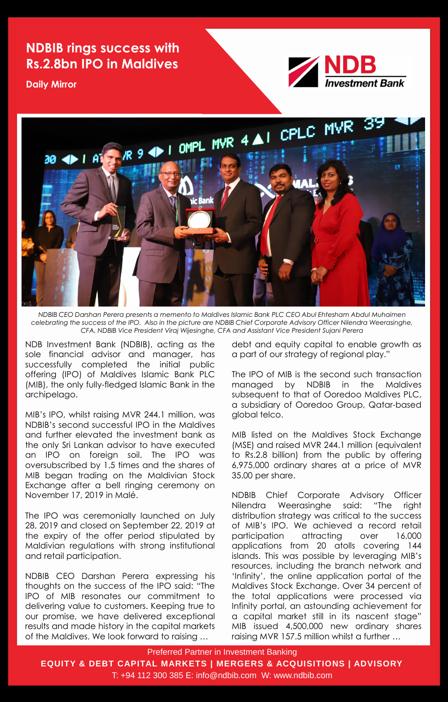Preferred Partner in Investment Banking

**EQUITY & DEBT CAPITAL MARKETS | MERGERS & ACQUISITIONS | ADVISORY**

T: +94 112 300 385 E: info@ndbib.com W: www.ndbib.com

## **NDBIB rings success with Rs.2.8bn IPO in Maldives**

**Daily Mirror**





*NDBIB CEO Darshan Perera presents a memento to Maldives Islamic Bank PLC CEO Abul Ehtesham Abdul Muhaimen celebrating the success of the IPO. Also in the picture are NDBIB Chief Corporate Advisory Officer Nilendra Weerasinghe, CFA, NDBIB Vice President Viraj Wijesinghe, CFA and Assistant Vice President Sujani Perera*

NDB Investment Bank (NDBIB), acting as the sole financial advisor and manager, has successfully completed the initial public offering (IPO) of Maldives Islamic Bank PLC (MIB), the only fully-fledged Islamic Bank in the archipelago.

MIB's IPO, whilst raising MVR 244.1 million, was

NDBIB's second successful IPO in the Maldives and further elevated the investment bank as the only Sri Lankan advisor to have executed an IPO on foreign soil. The IPO was oversubscribed by 1.5 times and the shares of MIB began trading on the Maldivian Stock Exchange after a bell ringing ceremony on November 17, 2019 in Malé.

The IPO was ceremonially launched on July 28, 2019 and closed on September 22, 2019 at the expiry of the offer period stipulated by Maldivian regulations with strong institutional and retail participation.

NDBIB CEO Darshan Perera expressing his thoughts on the success of the IPO said: "The IPO of MIB resonates our commitment to delivering value to customers. Keeping true to our promise, we have delivered exceptional results and made history in the capital markets of the Maldives. We look forward to raising …

debt and equity capital to enable growth as a part of our strategy of regional play."

The IPO of MIB is the second such transaction managed by NDBIB in the Maldives subsequent to that of Ooredoo Maldives PLC, a subsidiary of Ooredoo Group, Qatar-based global telco.

MIB listed on the Maldives Stock Exchange (MSE) and raised MVR 244.1 million (equivalent to Rs.2.8 billion) from the public by offering 6,975,000 ordinary shares at a price of MVR 35.00 per share.

NDBIB Chief Corporate Advisory Officer Nilendra Weerasinghe said: "The right distribution strategy was critical to the success of MIB's IPO. We achieved a record retail participation attracting over 16,000 applications from 20 atolls covering 144 islands. This was possible by leveraging MIB's resources, including the branch network and 'Infinity', the online application portal of the Maldives Stock Exchange. Over 34 percent of the total applications were processed via Infinity portal, an astounding achievement for a capital market still in its nascent stage" MIB issued 4,500,000 new ordinary shares raising MVR 157.5 million whilst a further …